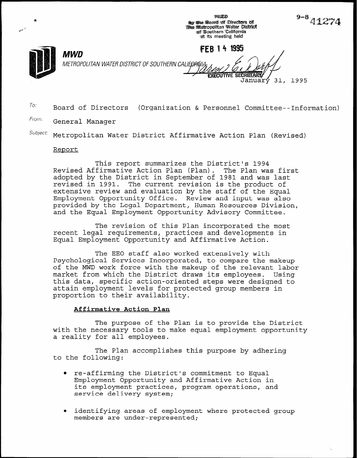FILIED tby the Board of Directors of<br>The Metropolitan Water District<br>of Southern California at its meeting held

**FEB 14 1995** 

 $8-8$  41.



ns

ن سي

MWD METROPOLITAN WATER DISTRICT OF SOUTHERN CAL

> **EXECUTIVE SECRETARY** 31, 1995 Januarý

 $T$ <sup>0:</sup> Board of Directors (Organization & Personnel Committee--Information)

From: General Manager

 $Subject:$  Metropolitan Water District Affirmative Action Plan (Revised)

## **Report**

This report summarizes the District's 1994 Revised Affirmative Action Plan (Plan). The Plan was first adopted by the District in September of 1981 and was last revised in 1991. The current revision is the product of extensive review and evaluation by the staff of the Equal Employment Opportunity Office. Review and input was also provided by the Legal Department, Human Resources Division, and the Equal Employment Opportunity Advisory Committee.

The revision of this Plan incorporated the most recent legal requirements, practices and developments in Equal Employment Opportunity and Affirmative Action.

The EEO staff also worked extensively with Psychological Services Incorporated, to compare the makeup of the MWD work force with the makeup of the relevant labor market from which the District draws its employees. Using this data, specific action-oriented steps were designed to attain employment levels for protected group members in proportion to their availability.

## Affirmative Action Plan

The purpose of the Plan is to provide the District with the necessary tools to make equal employment opportunity a reality for all employees.

The Plan accomplishes this purpose by adhering to the following:

- 0 re-affirming the District's commitment to Equal Employment Opportunity and Affirmative Action in its employment practices, program operations, and service delivery system;
- $\bullet$  identifying areas of employment where protected group members are under-represented;